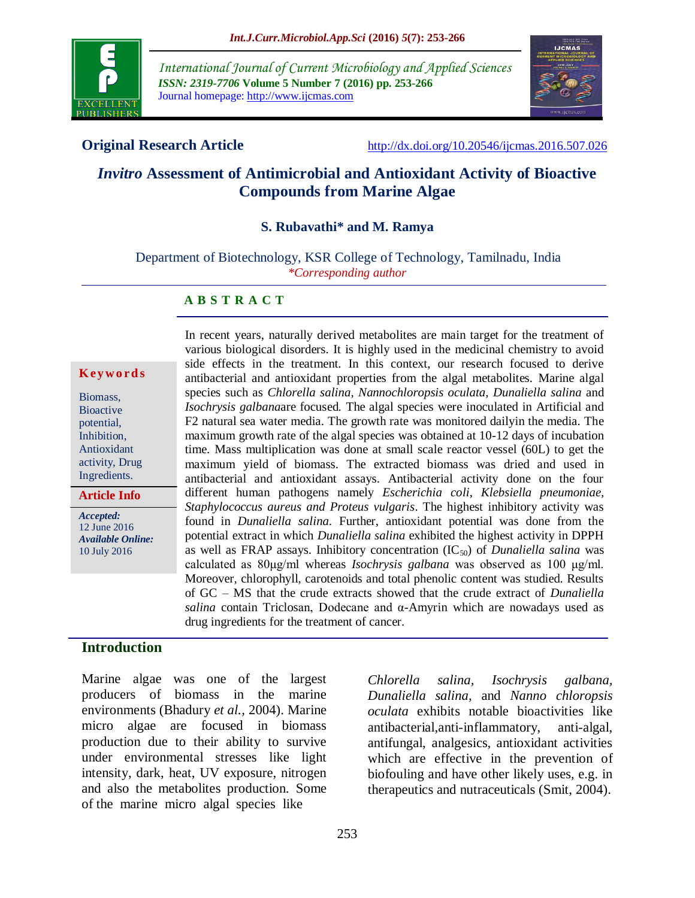

*International Journal of Current Microbiology and Applied Sciences ISSN: 2319-7706* **Volume 5 Number 7 (2016) pp. 253-266** Journal homepage: http://www.ijcmas.com



**Original Research Article** <http://dx.doi.org/10.20546/ijcmas.2016.507.026>

# *Invitro* **Assessment of Antimicrobial and Antioxidant Activity of Bioactive Compounds from Marine Algae**

#### **S. Rubavathi\* and M. Ramya**

Department of Biotechnology, KSR College of Technology, Tamilnadu, India *\*Corresponding author*

#### **A B S T R A C T**

#### **K ey w o rd s**

Biomass, **Bioactive** potential, Inhibition, Antioxidant activity, Drug Ingredients.

**Article Info**

*Accepted:*  12 June 2016 *Available Online:* 10 July 2016

In recent years, naturally derived metabolites are main target for the treatment of various biological disorders. It is highly used in the medicinal chemistry to avoid side effects in the treatment. In this context, our research focused to derive antibacterial and antioxidant properties from the algal metabolites. Marine algal species such as *Chlorella salina, Nannochloropsis oculata, Dunaliella salina* and *Isochrysis galbana*are focused*.* The algal species were inoculated in Artificial and F2 natural sea water media. The growth rate was monitored dailyin the media. The maximum growth rate of the algal species was obtained at 10-12 days of incubation time. Mass multiplication was done at small scale reactor vessel (60L) to get the maximum yield of biomass. The extracted biomass was dried and used in antibacterial and antioxidant assays. Antibacterial activity done on the four different human pathogens namely *Escherichia coli, Klebsiella pneumoniae, Staphylococcus aureus and Proteus vulgaris*. The highest inhibitory activity was found in *Dunaliella salina*. Further, antioxidant potential was done from the potential extract in which *Dunaliella salina* exhibited the highest activity in DPPH as well as FRAP assays. Inhibitory concentration (IC50) of *Dunaliella salina* was calculated as 80μg/ml whereas *Isochrysis galbana* was observed as 100 μg/ml. Moreover, chlorophyll, carotenoids and total phenolic content was studied. Results of GC – MS that the crude extracts showed that the crude extract of *Dunaliella salina* contain Triclosan, Dodecane and  $\alpha$ -Amyrin which are nowadays used as drug ingredients for the treatment of cancer.

#### **Introduction**

Marine algae was one of the largest producers of biomass in the marine environments (Bhadury *et al.,* 2004). Marine micro algae are focused in biomass production due to their ability to survive under environmental stresses like light intensity, dark, heat, UV exposure, nitrogen and also the metabolites production. Some of themarine micro algal species like

*Chlorella salina, Isochrysis galbana, Dunaliella salina,* and *Nanno chloropsis oculata* exhibits notable bioactivities like antibacterial,anti-inflammatory, anti-algal, antifungal, analgesics, antioxidant activities which are effective in the prevention of biofouling and have other likely uses, e.g. in therapeutics and nutraceuticals (Smit, 2004).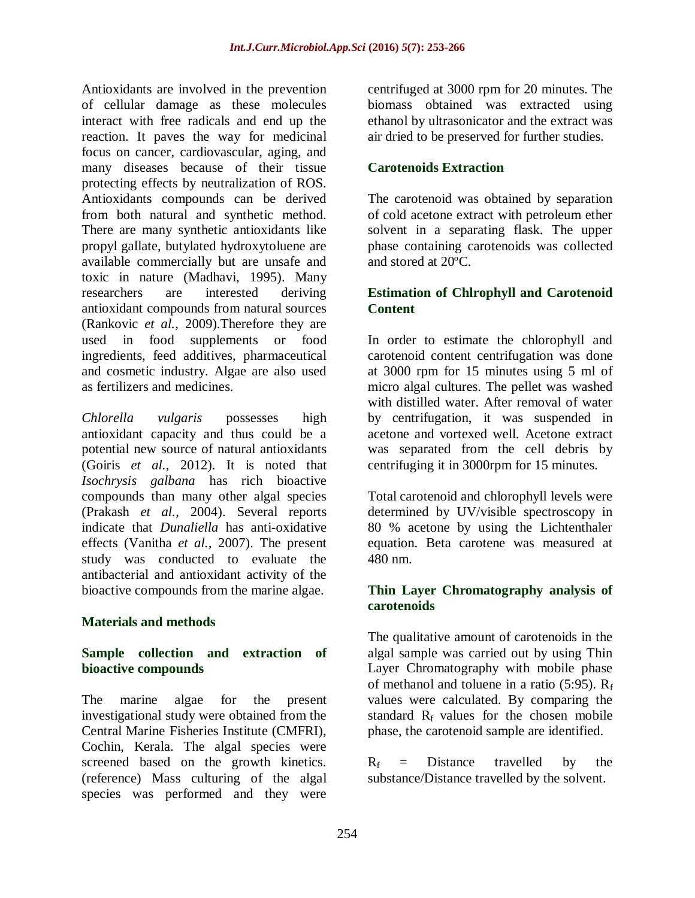Antioxidants are involved in the prevention of cellular damage as these molecules interact with free radicals and end up the reaction. It paves the way for medicinal focus on cancer, cardiovascular, aging, and many diseases because of their tissue protecting effects by neutralization of ROS. Antioxidants compounds can be derived from both natural and synthetic method. There are many synthetic antioxidants like propyl gallate, butylated hydroxytoluene are available commercially but are unsafe and toxic in nature (Madhavi, 1995). Many researchers are interested deriving antioxidant compounds from natural sources (Rankovic *et al.,* 2009).Therefore they are used in food supplements or food ingredients, feed additives, pharmaceutical and cosmetic industry. Algae are also used as fertilizers and medicines.

*Chlorella vulgaris* possesses high antioxidant capacity and thus could be a potential new source of natural antioxidants (Goiris *et al.,* 2012). It is noted that *Isochrysis galbana* has rich bioactive compounds than many other algal species (Prakash *et al.,* 2004). Several reports indicate that *Dunaliella* has anti-oxidative effects (Vanitha *et al.,* 2007). The present study was conducted to evaluate the antibacterial and antioxidant activity of the bioactive compounds from the marine algae.

# **Materials and methods**

# **Sample collection and extraction of bioactive compounds**

The marine algae for the present investigational study were obtained from the Central Marine Fisheries Institute (CMFRI), Cochin, Kerala. The algal species were screened based on the growth kinetics. (reference) Mass culturing of the algal species was performed and they were

centrifuged at 3000 rpm for 20 minutes. The biomass obtained was extracted using ethanol by ultrasonicator and the extract was air dried to be preserved for further studies.

# **Carotenoids Extraction**

The carotenoid was obtained by separation of cold acetone extract with petroleum ether solvent in a separating flask. The upper phase containing carotenoids was collected and stored at 20ºC.

### **Estimation of Chlrophyll and Carotenoid Content**

In order to estimate the chlorophyll and carotenoid content centrifugation was done at 3000 rpm for 15 minutes using 5 ml of micro algal cultures. The pellet was washed with distilled water. After removal of water by centrifugation, it was suspended in acetone and vortexed well. Acetone extract was separated from the cell debris by centrifuging it in 3000rpm for 15 minutes.

Total carotenoid and chlorophyll levels were determined by UV/visible spectroscopy in 80 % acetone by using the Lichtenthaler equation. Beta carotene was measured at 480 nm.

#### **Thin Layer Chromatography analysis of carotenoids**

The qualitative amount of carotenoids in the algal sample was carried out by using Thin Layer Chromatography with mobile phase of methanol and toluene in a ratio  $(5:95)$ . R<sub>f</sub> values were calculated. By comparing the standard  $R_f$  values for the chosen mobile phase, the carotenoid sample are identified.

 $R_f$  = Distance travelled by the substance/Distance travelled by the solvent.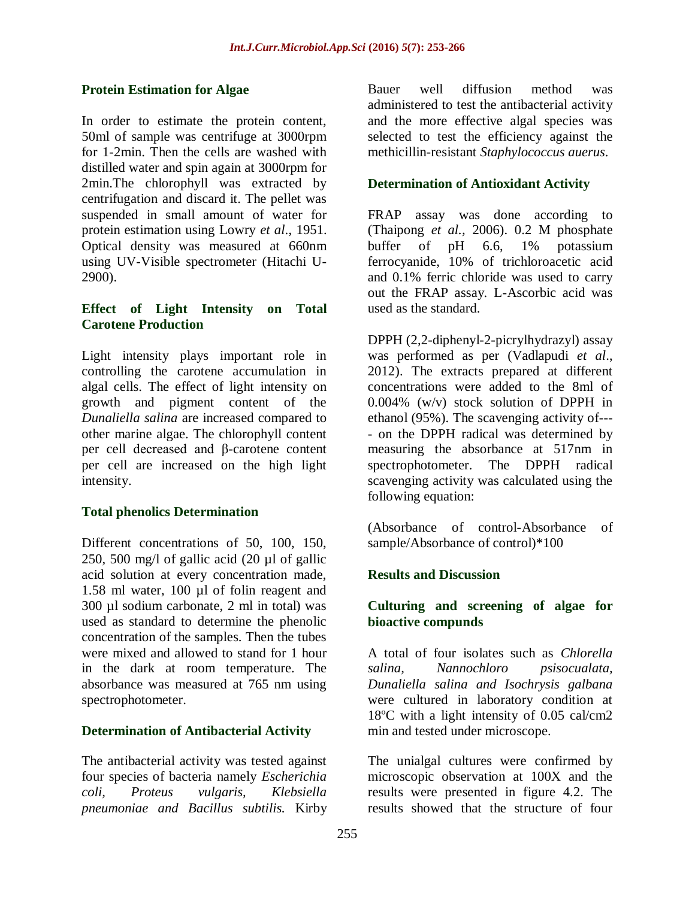# **Protein Estimation for Algae**

In order to estimate the protein content, 50ml of sample was centrifuge at 3000rpm for 1-2min. Then the cells are washed with distilled water and spin again at 3000rpm for 2min.The chlorophyll was extracted by centrifugation and discard it. The pellet was suspended in small amount of water for protein estimation using Lowry *et al*., 1951. Optical density was measured at 660nm using UV-Visible spectrometer (Hitachi U-2900).

# **Effect of Light Intensity on Total Carotene Production**

Light intensity plays important role in controlling the carotene accumulation in algal cells. The effect of light intensity on growth and pigment content of the *Dunaliella salina* are increased compared to other marine algae. The chlorophyll content per cell decreased and β-carotene content per cell are increased on the high light intensity.

# **Total phenolics Determination**

Different concentrations of 50, 100, 150, 250, 500 mg/l of gallic acid (20 µl of gallic acid solution at every concentration made, 1.58 ml water, 100 µl of folin reagent and 300 µl sodium carbonate, 2 ml in total) was used as standard to determine the phenolic concentration of the samples. Then the tubes were mixed and allowed to stand for 1 hour in the dark at room temperature. The absorbance was measured at 765 nm using spectrophotometer.

# **Determination of Antibacterial Activity**

The antibacterial activity was tested against four species of bacteria namely *Escherichia coli, Proteus vulgaris, Klebsiella pneumoniae and Bacillus subtilis.* Kirby Bauer well diffusion method was administered to test the antibacterial activity and the more effective algal species was selected to test the efficiency against the methicillin-resistant *Staphylococcus auerus*.

# **Determination of Antioxidant Activity**

FRAP assay was done according to (Thaipong *et al.,* 2006). 0.2 M phosphate buffer of pH 6.6, 1% potassium ferrocyanide, 10% of trichloroacetic acid and 0.1% ferric chloride was used to carry out the FRAP assay. L-Ascorbic acid was used as the standard.

DPPH (2,2-diphenyl-2-picrylhydrazyl) assay was performed as per (Vadlapudi *et al*., 2012). The extracts prepared at different concentrations were added to the 8ml of 0.004% (w/v) stock solution of DPPH in ethanol (95%). The scavenging activity of--- - on the DPPH radical was determined by measuring the absorbance at 517nm in spectrophotometer. The DPPH radical scavenging activity was calculated using the following equation:

(Absorbance of control-Absorbance of sample/Absorbance of control)\*100

# **Results and Discussion**

# **Culturing and screening of algae for bioactive compunds**

A total of four isolates such as *Chlorella salina, Nannochloro psisocualata, Dunaliella salina and Isochrysis galbana* were cultured in laboratory condition at 18ºC with a light intensity of 0.05 cal/cm2 min and tested under microscope.

The unialgal cultures were confirmed by microscopic observation at 100X and the results were presented in figure 4.2. The results showed that the structure of four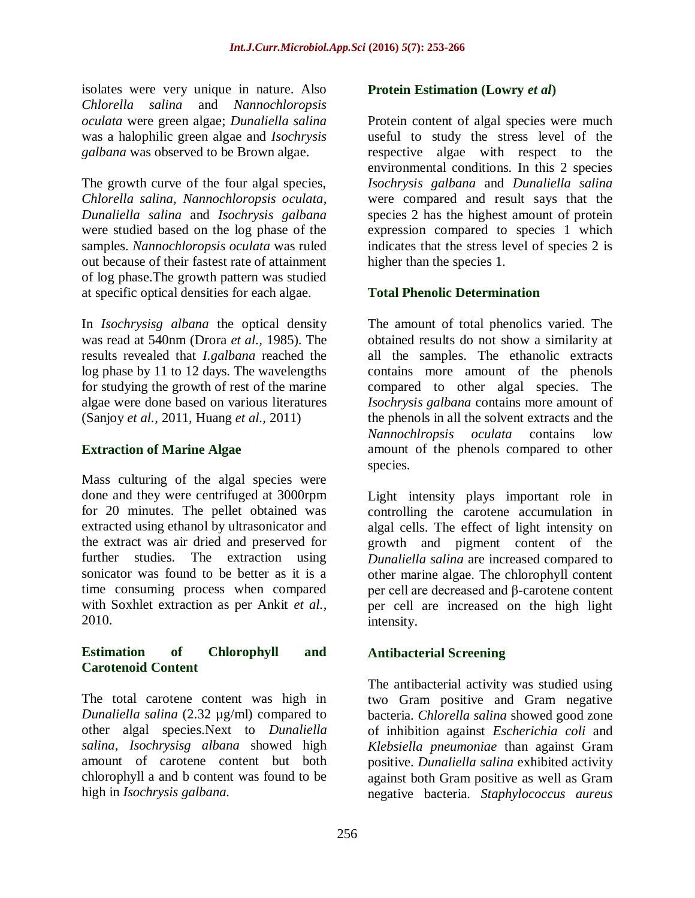isolates were very unique in nature. Also *Chlorella salina* and *Nannochloropsis oculata* were green algae; *Dunaliella salina* was a halophilic green algae and *Isochrysis galbana* was observed to be Brown algae.

The growth curve of the four algal species, *Chlorella salina, Nannochloropsis oculata, Dunaliella salina* and *Isochrysis galbana* were studied based on the log phase of the samples. *Nannochloropsis oculata* was ruled out because of their fastest rate of attainment of log phase.The growth pattern was studied at specific optical densities for each algae.

In *Isochrysisg albana* the optical density was read at 540nm (Drora *et al.,* 1985). The results revealed that *I.galbana* reached the log phase by 11 to 12 days. The wavelengths for studying the growth of rest of the marine algae were done based on various literatures (Sanjoy *et al.,* 2011, Huang *et al.,* 2011)

### **Extraction of Marine Algae**

Mass culturing of the algal species were done and they were centrifuged at 3000rpm for 20 minutes. The pellet obtained was extracted using ethanol by ultrasonicator and the extract was air dried and preserved for further studies. The extraction using sonicator was found to be better as it is a time consuming process when compared with Soxhlet extraction as per Ankit *et al.,* 2010.

#### **Estimation of Chlorophyll and Carotenoid Content**

The total carotene content was high in *Dunaliella salina* (2.32 µg/ml) compared to other algal species.Next to *Dunaliella salina*, *Isochrysisg albana* showed high amount of carotene content but both chlorophyll a and b content was found to be high in *Isochrysis galbana.*

#### **Protein Estimation (Lowry** *et al***)**

Protein content of algal species were much useful to study the stress level of the respective algae with respect to the environmental conditions. In this 2 species *Isochrysis galbana* and *Dunaliella salina* were compared and result says that the species 2 has the highest amount of protein expression compared to species 1 which indicates that the stress level of species 2 is higher than the species 1.

# **Total Phenolic Determination**

The amount of total phenolics varied. The obtained results do not show a similarity at all the samples. The ethanolic extracts contains more amount of the phenols compared to other algal species. The *Isochrysis galbana* contains more amount of the phenols in all the solvent extracts and the *Nannochlropsis oculata* contains low amount of the phenols compared to other species.

Light intensity plays important role in controlling the carotene accumulation in algal cells. The effect of light intensity on growth and pigment content of the *Dunaliella salina* are increased compared to other marine algae. The chlorophyll content per cell are decreased and β-carotene content per cell are increased on the high light intensity.

# **Antibacterial Screening**

The antibacterial activity was studied using two Gram positive and Gram negative bacteria. *Chlorella salina* showed good zone of inhibition against *Escherichia coli* and *Klebsiella pneumoniae* than against Gram positive. *Dunaliella salina* exhibited activity against both Gram positive as well as Gram negative bacteria. *Staphylococcus aureus*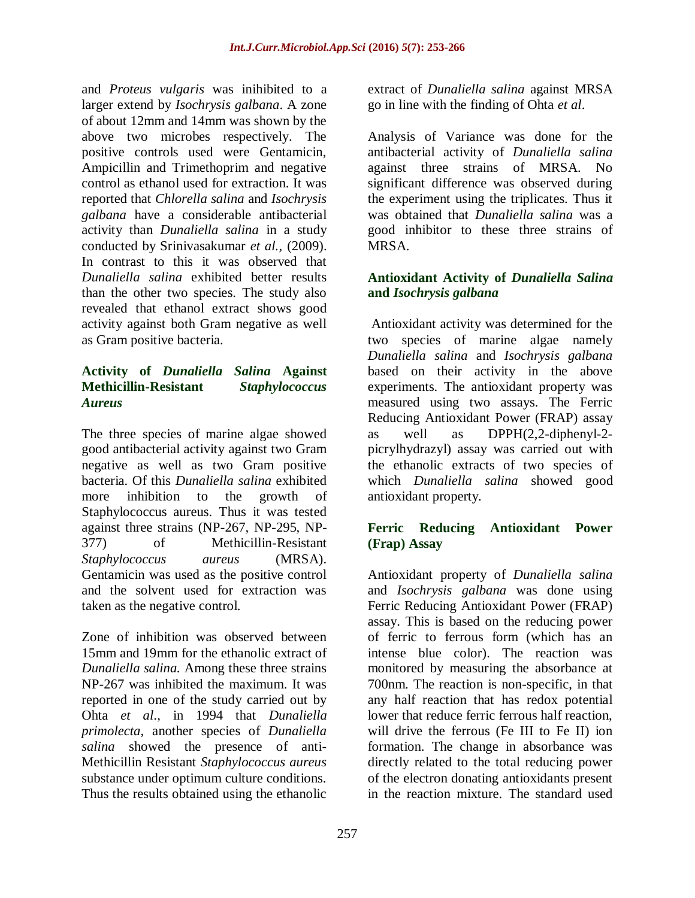and *Proteus vulgaris* was inihibited to a larger extend by *Isochrysis galbana*. A zone of about 12mm and 14mm was shown by the above two microbes respectively. The positive controls used were Gentamicin, Ampicillin and Trimethoprim and negative control as ethanol used for extraction. It was reported that *Chlorella salina* and *Isochrysis galbana* have a considerable antibacterial activity than *Dunaliella salina* in a study conducted by Srinivasakumar *et al.,* (2009). In contrast to this it was observed that *Dunaliella salina* exhibited better results than the other two species. The study also revealed that ethanol extract shows good activity against both Gram negative as well as Gram positive bacteria.

# **Activity of** *Dunaliella Salina* **Against Methicillin-Resistant** *Staphylococcus Aureus*

The three species of marine algae showed good antibacterial activity against two Gram negative as well as two Gram positive bacteria. Of this *Dunaliella salina* exhibited more inhibition to the growth of Staphylococcus aureus. Thus it was tested against three strains (NP-267, NP-295, NP-377) of Methicillin-Resistant *Staphylococcus aureus* (MRSA). Gentamicin was used as the positive control and the solvent used for extraction was taken as the negative control.

Zone of inhibition was observed between 15mm and 19mm for the ethanolic extract of *Dunaliella salina.* Among these three strains NP-267 was inhibited the maximum. It was reported in one of the study carried out by Ohta *et al*., in 1994 that *Dunaliella primolecta,* another species of *Dunaliella salina* showed the presence of anti-Methicillin Resistant *Staphylococcus aureus*  substance under optimum culture conditions. Thus the results obtained using the ethanolic

extract of *Dunaliella salina* against MRSA go in line with the finding of Ohta *et al*.

Analysis of Variance was done for the antibacterial activity of *Dunaliella salina*  against three strains of MRSA. No significant difference was observed during the experiment using the triplicates. Thus it was obtained that *Dunaliella salina* was a good inhibitor to these three strains of MRSA.

# **Antioxidant Activity of** *Dunaliella Salina* **and** *Isochrysis galbana*

Antioxidant activity was determined for the two species of marine algae namely *Dunaliella salina* and *Isochrysis galbana* based on their activity in the above experiments. The antioxidant property was measured using two assays. The Ferric Reducing Antioxidant Power (FRAP) assay as well as DPPH(2,2-diphenyl-2 picrylhydrazyl) assay was carried out with the ethanolic extracts of two species of which *Dunaliella salina* showed good antioxidant property.

# **Ferric Reducing Antioxidant Power (Frap) Assay**

Antioxidant property of *Dunaliella salina* and *Isochrysis galbana* was done using Ferric Reducing Antioxidant Power (FRAP) assay. This is based on the reducing power of ferric to ferrous form (which has an intense blue color). The reaction was monitored by measuring the absorbance at 700nm. The reaction is non-specific, in that any half reaction that has redox potential lower that reduce ferric ferrous half reaction, will drive the ferrous (Fe III to Fe II) ion formation. The change in absorbance was directly related to the total reducing power of the electron donating antioxidants present in the reaction mixture. The standard used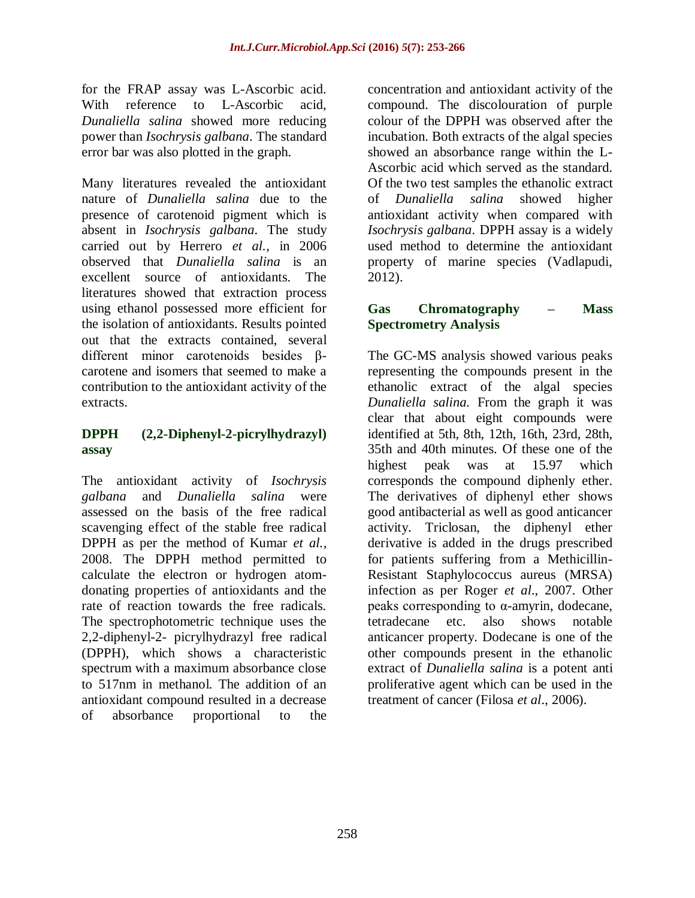for the FRAP assay was L-Ascorbic acid. With reference to L-Ascorbic acid, *Dunaliella salina* showed more reducing power than *Isochrysis galbana*. The standard error bar was also plotted in the graph.

Many literatures revealed the antioxidant nature of *Dunaliella salina* due to the presence of carotenoid pigment which is absent in *Isochrysis galbana*. The study carried out by Herrero *et al.,* in 2006 observed that *Dunaliella salina* is an excellent source of antioxidants. The literatures showed that extraction process using ethanol possessed more efficient for the isolation of antioxidants. Results pointed out that the extracts contained, several different minor carotenoids besides βcarotene and isomers that seemed to make a contribution to the antioxidant activity of the extracts.

# **DPPH (2,2-Diphenyl-2-picrylhydrazyl) assay**

The antioxidant activity of *Isochrysis galbana* and *Dunaliella salina* were assessed on the basis of the free radical scavenging effect of the stable free radical DPPH as per the method of Kumar *et al.,* 2008. The DPPH method permitted to calculate the electron or hydrogen atomdonating properties of antioxidants and the rate of reaction towards the free radicals. The spectrophotometric technique uses the 2,2-diphenyl-2- picrylhydrazyl free radical (DPPH), which shows a characteristic spectrum with a maximum absorbance close to 517nm in methanol. The addition of an antioxidant compound resulted in a decrease of absorbance proportional to the

concentration and antioxidant activity of the compound. The discolouration of purple colour of the DPPH was observed after the incubation. Both extracts of the algal species showed an absorbance range within the L-Ascorbic acid which served as the standard. Of the two test samples the ethanolic extract of *Dunaliella salina* showed higher antioxidant activity when compared with *Isochrysis galbana*. DPPH assay is a widely used method to determine the antioxidant property of marine species (Vadlapudi, 2012).

# **Gas Chromatography – Mass Spectrometry Analysis**

The GC-MS analysis showed various peaks representing the compounds present in the ethanolic extract of the algal species *Dunaliella salina.* From the graph it was clear that about eight compounds were identified at 5th, 8th, 12th, 16th, 23rd, 28th, 35th and 40th minutes. Of these one of the highest peak was at 15.97 which corresponds the compound diphenly ether. The derivatives of diphenyl ether shows good antibacterial as well as good anticancer activity. Triclosan, the diphenyl ether derivative is added in the drugs prescribed for patients suffering from a Methicillin-Resistant Staphylococcus aureus (MRSA) infection as per Roger *et al*., 2007. Other peaks corresponding to α-amyrin, dodecane, tetradecane etc. also shows notable anticancer property. Dodecane is one of the other compounds present in the ethanolic extract of *Dunaliella salina* is a potent anti proliferative agent which can be used in the treatment of cancer (Filosa *et al*., 2006).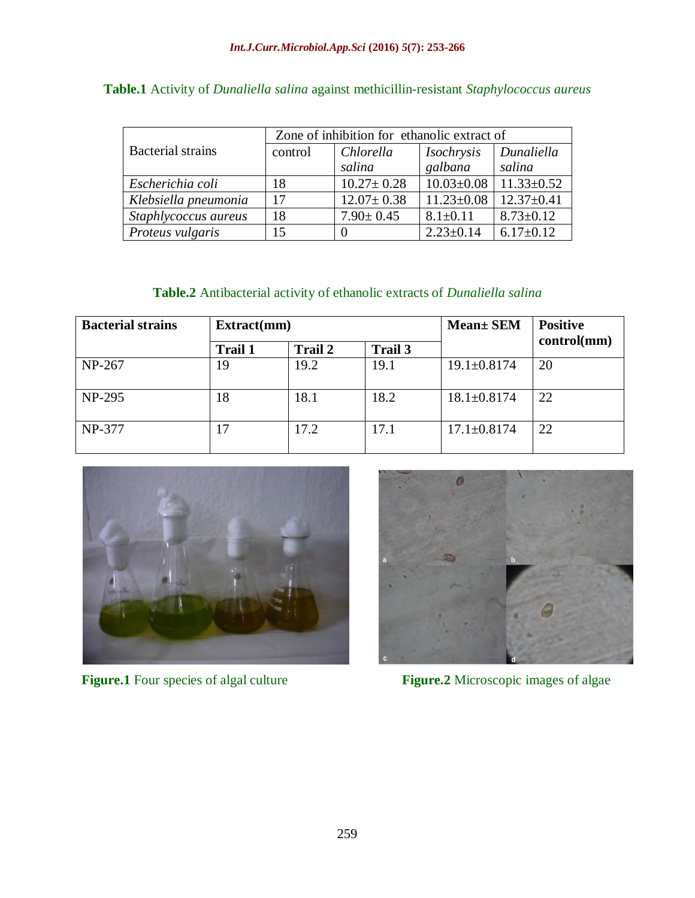|                          | Zone of inhibition for ethanolic extract of |                  |                  |                  |  |
|--------------------------|---------------------------------------------|------------------|------------------|------------------|--|
| <b>Bacterial</b> strains | control                                     | Chlorella        | Isochrysis       | Dunaliella       |  |
|                          |                                             | salina           | galbana          | salina           |  |
| Escherichia coli         | 18                                          | $10.27 \pm 0.28$ | $10.03 \pm 0.08$ | $11.33 \pm 0.52$ |  |
| Klebsiella pneumonia     | 17                                          | $12.07 \pm 0.38$ | $11.23 \pm 0.08$ | $12.37 \pm 0.41$ |  |
| Staphlycoccus aureus     | 18                                          | $7.90 \pm 0.45$  | $8.1 \pm 0.11$   | $8.73 \pm 0.12$  |  |
| Proteus vulgaris         | 15                                          |                  | $2.23 \pm 0.14$  | $6.17 \pm 0.12$  |  |

**Table.1** Activity of *Dunaliella salina* against methicillin-resistant *Staphylococcus aureus*

# **Table.2** Antibacterial activity of ethanolic extracts of *Dunaliella salina*

| <b>Bacterial strains</b> | Extract(mm)    |                |         | <b>Mean</b> + SEM | <b>Positive</b> |
|--------------------------|----------------|----------------|---------|-------------------|-----------------|
|                          | <b>Trail 1</b> | <b>Trail 2</b> | Trail 3 |                   | control(mm)     |
| NP-267                   | 19             | 19.2           | 19.1    | $19.1 \pm 0.8174$ | 20              |
| $NP-295$                 | 18             | 18.1           | 18.2    | $18.1 \pm 0.8174$ | 22              |
| NP-377                   | 17             | 17.2           | 17.1    | $17.1 \pm 0.8174$ | 22              |



**Figure.1** Four species of algal culture **Figure.2** Microscopic images of algae

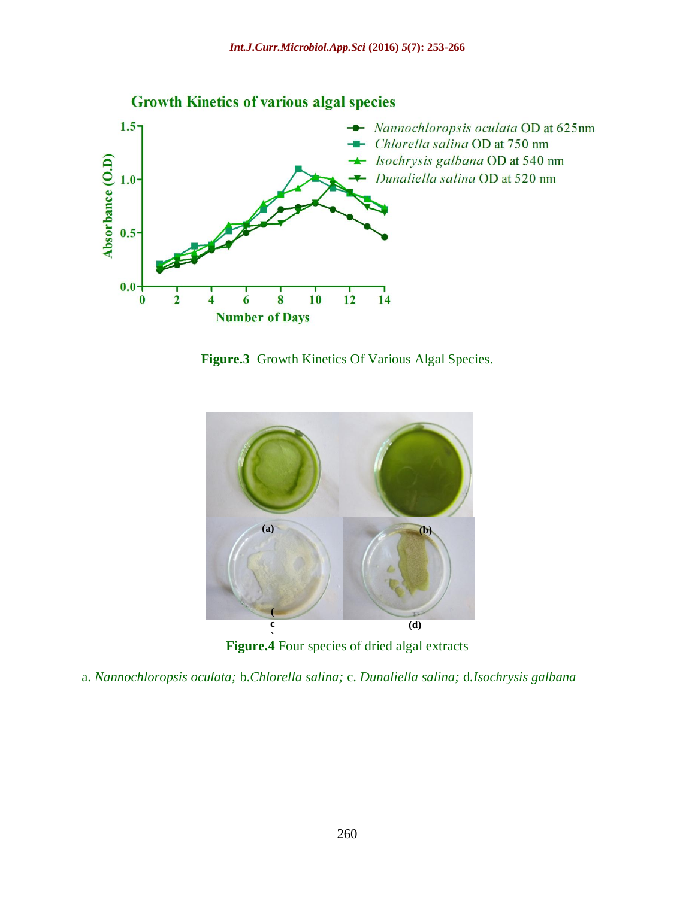

**Figure.3** Growth Kinetics Of Various Algal Species.



**Figure.4** Four species of dried algal extracts

a. *Nannochloropsis oculata;* b.*Chlorella salina;* c. *Dunaliella salina;* d.*Isochrysis galbana*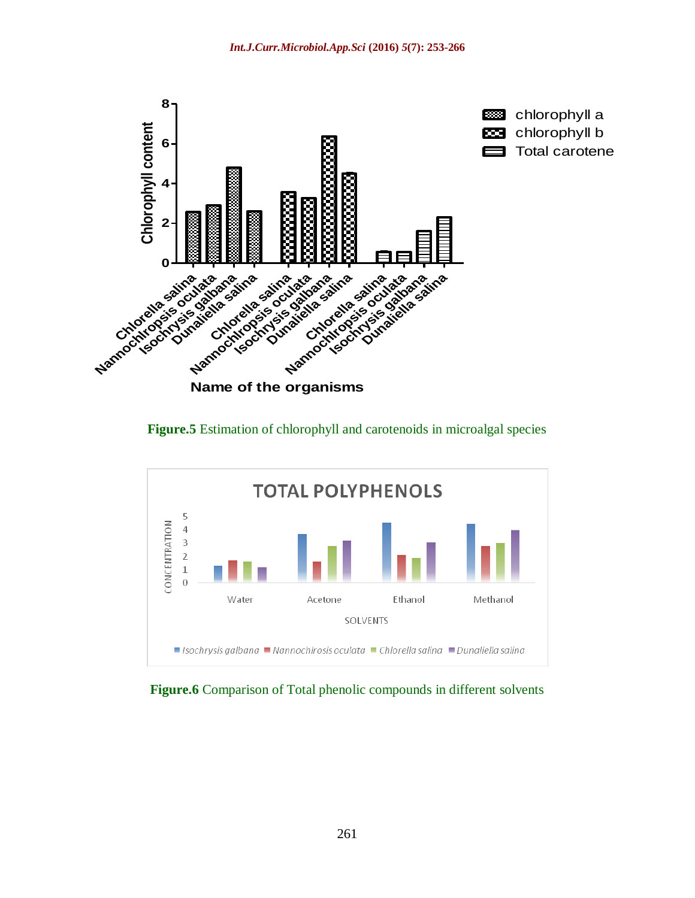





**Figure.6** Comparison of Total phenolic compounds in different solvents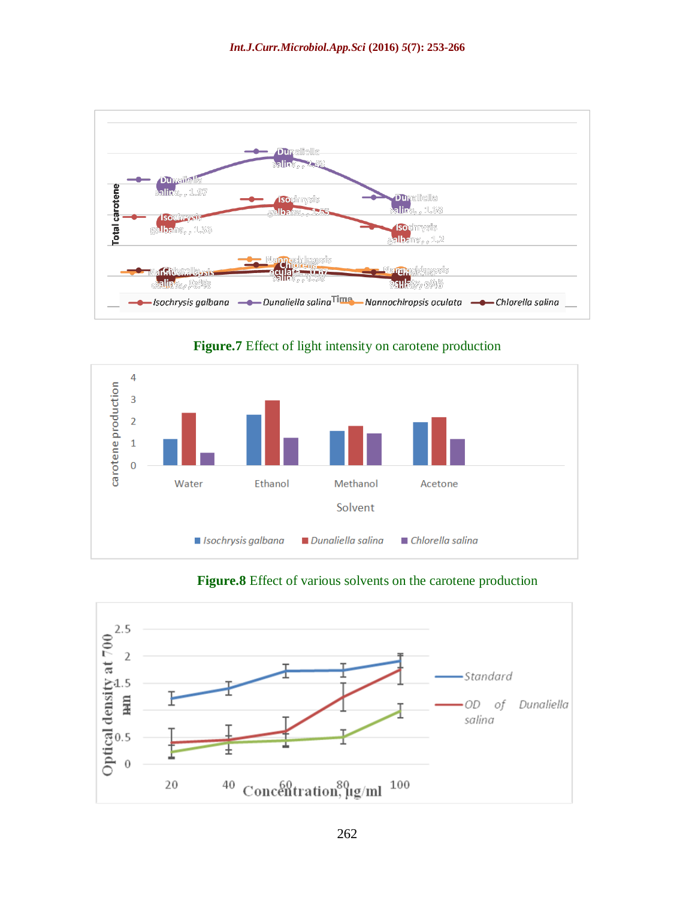

**Figure.7** Effect of light intensity on carotene production



# **Figure.8** Effect of various solvents on the carotene production

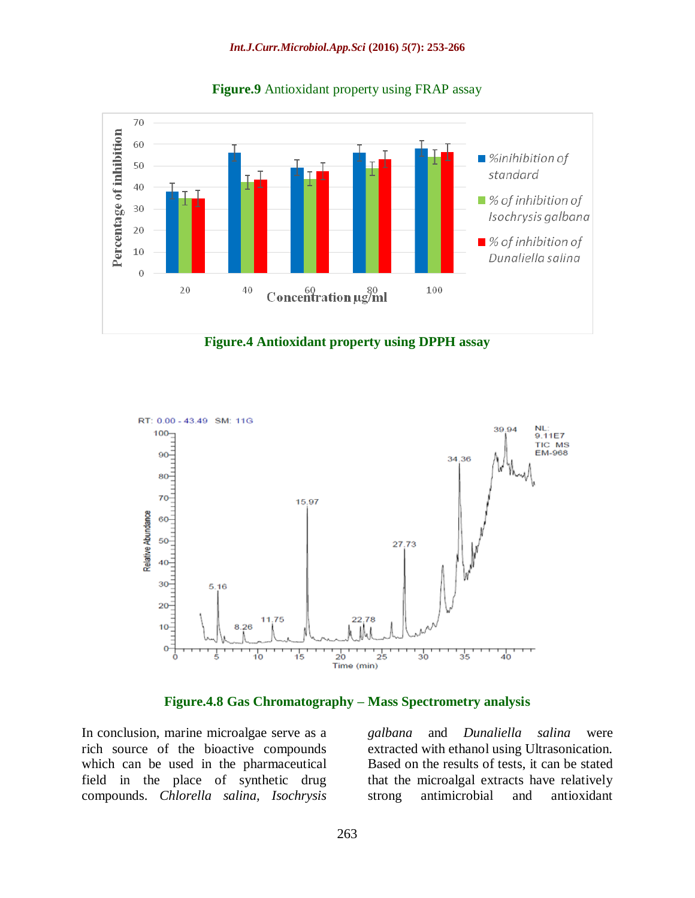

**Figure.9** Antioxidant property using FRAP assay





**Figure.4.8 Gas Chromatography – Mass Spectrometry analysis**

In conclusion, marine microalgae serve as a rich source of the bioactive compounds which can be used in the pharmaceutical field in the place of synthetic drug compounds. *Chlorella salina, Isochrysis*

*galbana* and *Dunaliella salina* were extracted with ethanol using Ultrasonication. Based on the results of tests, it can be stated that the microalgal extracts have relatively strong antimicrobial and antioxidant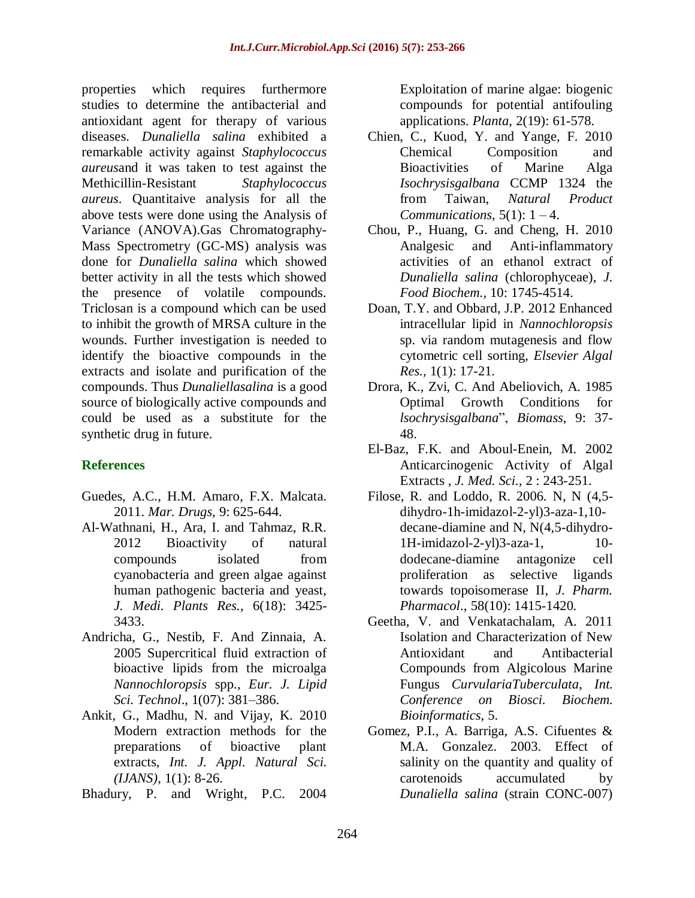properties which requires furthermore studies to determine the antibacterial and antioxidant agent for therapy of various diseases. *Dunaliella salina* exhibited a remarkable activity against *Staphylococcus aureus*and it was taken to test against the Methicillin-Resistant *Staphylococcus aureus*. Quantitaive analysis for all the above tests were done using the Analysis of Variance (ANOVA).Gas Chromatography-Mass Spectrometry (GC-MS) analysis was done for *Dunaliella salina* which showed better activity in all the tests which showed the presence of volatile compounds. Triclosan is a compound which can be used to inhibit the growth of MRSA culture in the wounds. Further investigation is needed to identify the bioactive compounds in the extracts and isolate and purification of the compounds. Thus *Dunaliellasalina* is a good source of biologically active compounds and could be used as a substitute for the synthetic drug in future.

# **References**

- Guedes, A.C., H.M. Amaro, F.X. Malcata. 2011. *Mar. Drugs,* 9: 625-644.
- Al-Wathnani, H., Ara, I. and Tahmaz, R.R. 2012 Bioactivity of natural compounds isolated from cyanobacteria and green algae against human pathogenic bacteria and yeast, *J. Medi. Plants Res.,* 6(18): 3425- 3433.
- Andricha, G., Nestib, F. And Zinnaia, A. 2005 Supercritical fluid extraction of bioactive lipids from the microalga *Nannochloropsis* spp., *Eur. J. Lipid Sci. Technol*., 1(07): 381–386.
- Ankit, G., Madhu, N. and Vijay, K. 2010 Modern extraction methods for the preparations of bioactive plant extracts, *Int. J. Appl. Natural Sci. (IJANS)*, 1(1): 8-26.
- Bhadury, P. and Wright, P.C. 2004

Exploitation of marine algae: biogenic compounds for potential antifouling applications. *Planta*, 2(19): 61-578.

- Chien, C., Kuod, Y. and Yange, F. 2010 Chemical Composition and Bioactivities of Marine Alga *Isochrysisgalbana* CCMP 1324 the from Taiwan, *Natural Product Communications*,  $5(1)$ :  $1-4$ .
- Chou, P., Huang, G. and Cheng, H. 2010 Analgesic and Anti-inflammatory activities of an ethanol extract of *Dunaliella salina* (chlorophyceae), *J. Food Biochem.,* 10: 1745-4514.
- Doan, T.Y. and Obbard, J.P. 2012 Enhanced intracellular lipid in *Nannochloropsis* sp. via random mutagenesis and flow cytometric cell sorting, *Elsevier Algal Res.,* 1(1): 17-21.
- Drora, K., Zvi, C. And Abeliovich, A. 1985 Optimal Growth Conditions for *lsochrysisgalbana*", *Biomass*, 9: 37- 48.
- El-Baz, F.K. and Aboul-Enein, M. 2002 Anticarcinogenic Activity of Algal Extracts , *J. Med. Sci.,* 2 : 243-251.
- Filose, R. and Loddo, R. 2006. N, N (4,5 dihydro-1h-imidazol-2-yl)3-aza-1,10 decane-diamine and N, N(4,5-dihydro-1H-imidazol-2-yl)3-aza-1, 10 dodecane-diamine antagonize cell proliferation as selective ligands towards topoisomerase II, *J. Pharm. Pharmacol*., 58(10): 1415-1420.
- Geetha, V. and Venkatachalam, A. 2011 Isolation and Characterization of New Antioxidant and Antibacterial Compounds from Algicolous Marine Fungus *CurvulariaTuberculata*, *Int. Conference on Biosci. Biochem. Bioinformatics*, 5.
- Gomez, P.I., A. Barriga, A.S. Cifuentes & M.A. Gonzalez. 2003. Effect of salinity on the quantity and quality of carotenoids accumulated by *Dunaliella salina* (strain CONC-007)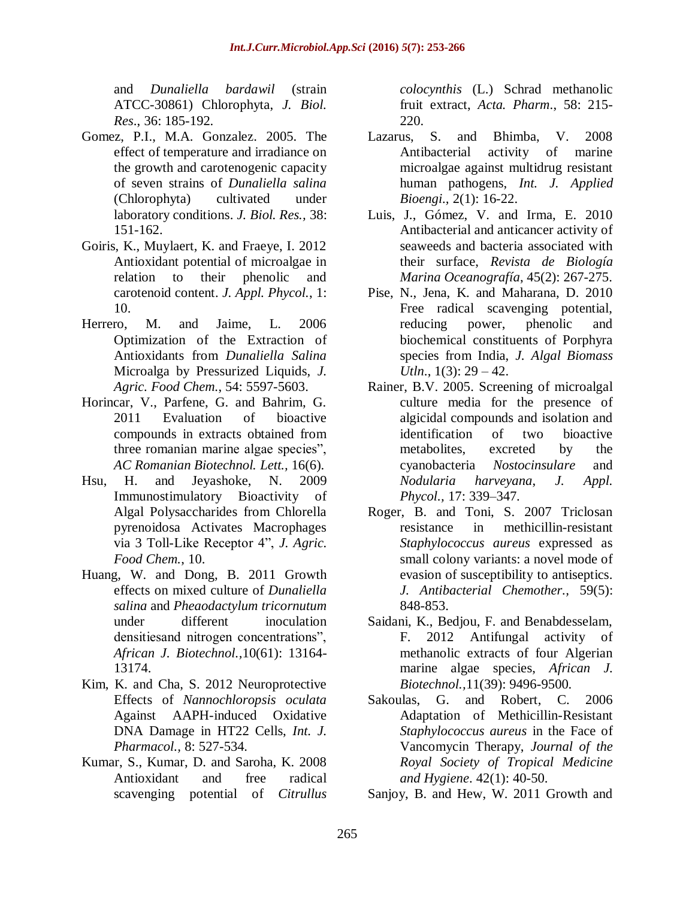and *Dunaliella bardawil* (strain ATCC-30861) Chlorophyta, *J. Biol. Res*., 36: 185-192.

- Gomez, P.I., M.A. Gonzalez. 2005. The effect of temperature and irradiance on the growth and carotenogenic capacity of seven strains of *Dunaliella salina*  (Chlorophyta) cultivated under laboratory conditions. *J. Biol. Res.,* 38: 151-162.
- Goiris, K., Muylaert, K. and Fraeye, I. 2012 Antioxidant potential of microalgae in relation to their phenolic and carotenoid content. *J. Appl. Phycol.*, 1: 10.
- Herrero, M. and Jaime, L. 2006 Optimization of the Extraction of Antioxidants from *Dunaliella Salina* Microalga by Pressurized Liquids, *J. Agric. Food Chem.*, 54: 5597-5603.
- Horincar, V., Parfene, G. and Bahrim, G. 2011 Evaluation of bioactive compounds in extracts obtained from three romanian marine algae species", *AC Romanian Biotechnol. Lett.,* 16(6).
- Hsu, H. and Jeyashoke, N. 2009 Immunostimulatory Bioactivity of Algal Polysaccharides from Chlorella pyrenoidosa Activates Macrophages via 3 Toll-Like Receptor 4", *J. Agric. Food Chem.*, 10.
- Huang, W. and Dong, B. 2011 Growth effects on mixed culture of *Dunaliella salina* and *Pheaodactylum tricornutum* under different inoculation densitiesand nitrogen concentrations", *African J. Biotechnol.,*10(61): 13164- 13174.
- Kim, K. and Cha, S. 2012 Neuroprotective Effects of *Nannochloropsis oculata*  Against AAPH-induced Oxidative DNA Damage in HT22 Cells, *Int. J. Pharmacol.,* 8: 527-534.
- Kumar, S., Kumar, D. and Saroha, K. 2008 Antioxidant and free radical scavenging potential of *Citrullus*

*colocynthis* (L.) Schrad methanolic fruit extract, *Acta. Pharm*., 58: 215- 220.

- Lazarus, S. and Bhimba, V. 2008 Antibacterial activity of marine microalgae against multidrug resistant human pathogens, *Int. J. Applied Bioengi.,* 2(1): 16-22.
- Luis, J., Gómez, V. and Irma, E. 2010 Antibacterial and anticancer activity of seaweeds and bacteria associated with their surface, *Revista de Biología Marina Oceanografía*, 45(2): 267-275.
- Pise, N., Jena, K. and Maharana, D. 2010 Free radical scavenging potential, reducing power, phenolic and biochemical constituents of Porphyra species from India, *J. Algal Biomass Utln*., 1(3): 29 – 42.
- Rainer, B.V. 2005. Screening of microalgal culture media for the presence of algicidal compounds and isolation and identification of two bioactive metabolites, excreted by the cyanobacteria *Nostocinsulare* and *Nodularia harveyana*, *J. Appl. Phycol.,* 17: 339–347.
- Roger, B. and Toni, S. 2007 Triclosan resistance in methicillin-resistant *Staphylococcus aureus* expressed as small colony variants: a novel mode of evasion of susceptibility to antiseptics. *J. Antibacterial Chemother.,* 59(5): 848-853.
- Saidani, K., Bedjou, F. and Benabdesselam, F. 2012 Antifungal activity of methanolic extracts of four Algerian marine algae species, *African J. Biotechnol.,*11(39): 9496-9500.
- Sakoulas, G. and Robert, C. 2006 Adaptation of Methicillin-Resistant *Staphylococcus aureus* in the Face of Vancomycin Therapy, *Journal of the Royal Society of Tropical Medicine and Hygiene*. 42(1): 40-50.
- Sanjoy, B. and Hew, W. 2011 Growth and